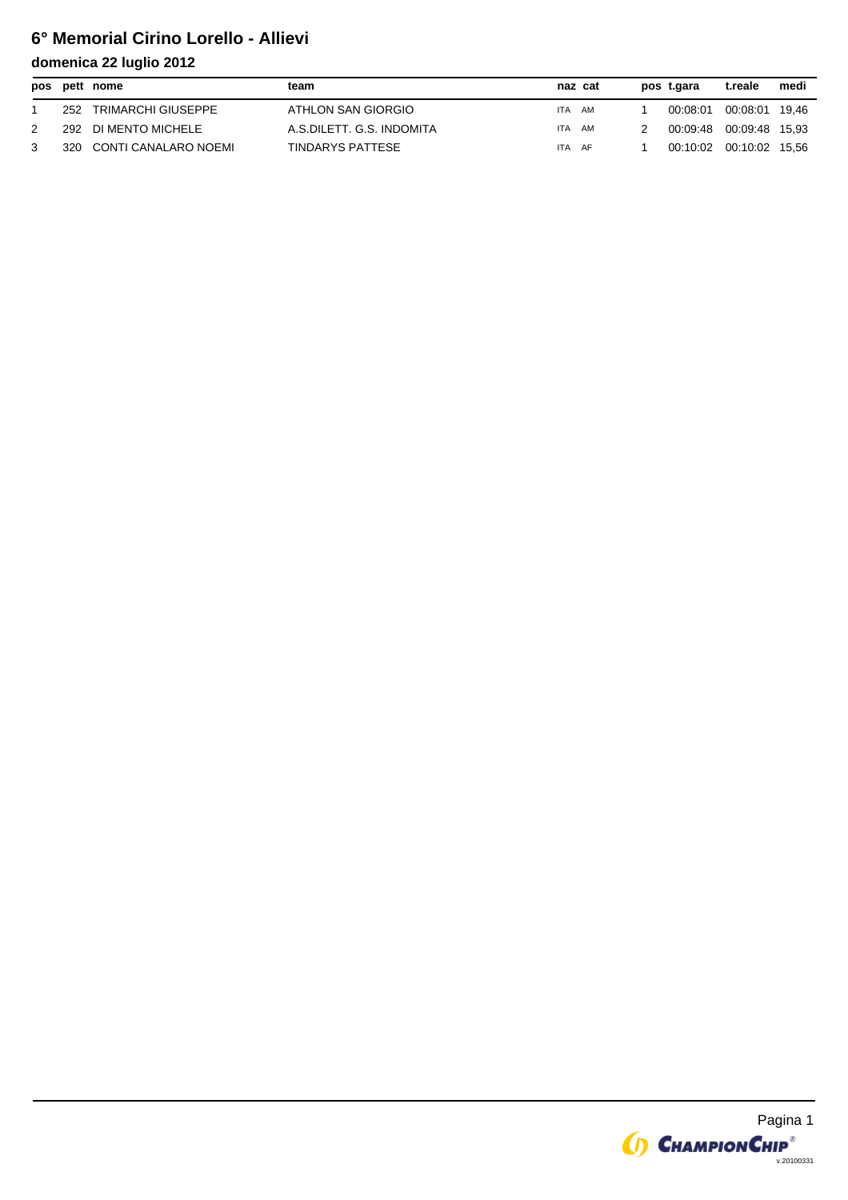# **6° Memorial Cirino Lorello - Allievi**

|     | pos pett nome        | team                      | naz cat |  | pos t.gara              | t.reale        | medi |
|-----|----------------------|---------------------------|---------|--|-------------------------|----------------|------|
| 252 | TRIMARCHI GIUSEPPE   | ATHLON SAN GIORGIO        | ITA AM  |  | 00:08:01                | 00:08:01 19.46 |      |
| 292 | DI MENTO MICHELE     | A.S.DILETT. G.S. INDOMITA | ITA AM  |  | 00:09:48 00:09:48 15.93 |                |      |
| 320 | CONTI CANALARO NOEMI | TINDARYS PATTESE          | ITA AF  |  | 00:10:02 00:10:02 15.56 |                |      |

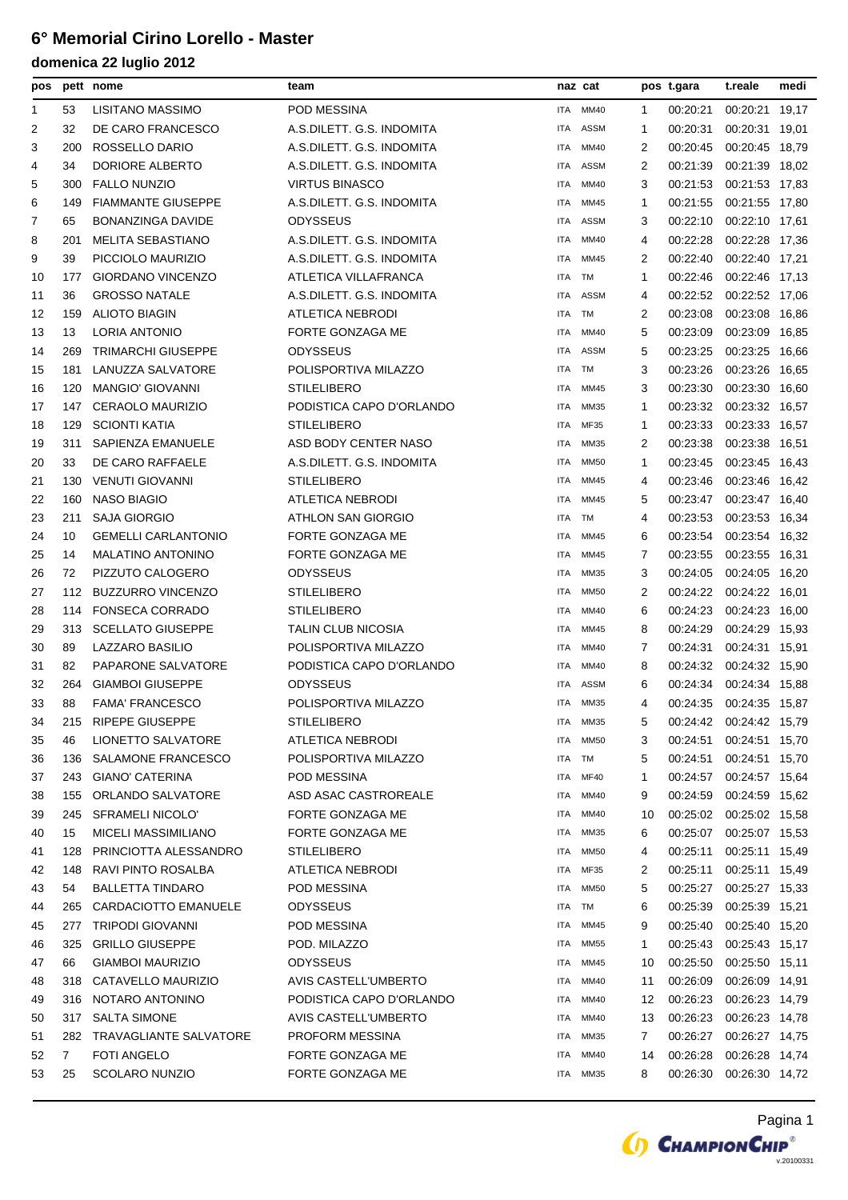## **6° Memorial Cirino Lorello - Master**

| pos |     | pett nome                  | team                      |            | naz cat     |    | pos t.gara | t.reale        | medi  |
|-----|-----|----------------------------|---------------------------|------------|-------------|----|------------|----------------|-------|
| 1   | 53  | LISITANO MASSIMO           | POD MESSINA               | ITA.       | MM40        | 1  | 00:20:21   | 00:20:21 19,17 |       |
| 2   | 32  | DE CARO FRANCESCO          | A.S.DILETT. G.S. INDOMITA | ITA.       | <b>ASSM</b> | -1 | 00:20:31   | 00:20:31 19.01 |       |
| 3   | 200 | ROSSELLO DARIO             | A.S.DILETT. G.S. INDOMITA | <b>ITA</b> | MM40        | 2  | 00:20:45   | 00:20:45 18,79 |       |
| 4   | 34  | DORIORE ALBERTO            | A.S.DILETT. G.S. INDOMITA | ITA        | <b>ASSM</b> | 2  | 00:21:39   | 00:21:39 18,02 |       |
| 5   | 300 | <b>FALLO NUNZIO</b>        | <b>VIRTUS BINASCO</b>     | ITA        | MM40        | 3  | 00:21:53   | 00:21:53 17,83 |       |
| 6   | 149 | <b>FIAMMANTE GIUSEPPE</b>  | A.S.DILETT. G.S. INDOMITA | ITA        | MM45        | 1  | 00:21:55   | 00:21:55 17,80 |       |
| 7   | 65  | <b>BONANZINGA DAVIDE</b>   | <b>ODYSSEUS</b>           | ITA        | <b>ASSM</b> | 3  | 00:22:10   | 00:22:10 17,61 |       |
| 8   | 201 | <b>MELITA SEBASTIANO</b>   | A.S.DILETT. G.S. INDOMITA | ITA        | MM40        | 4  | 00:22:28   | 00:22:28 17,36 |       |
| 9   | 39  | PICCIOLO MAURIZIO          | A.S.DILETT. G.S. INDOMITA | ITA        | MM45        | 2  | 00:22:40   | 00:22:40 17,21 |       |
| 10  | 177 | GIORDANO VINCENZO          | ATLETICA VILLAFRANCA      | ITA        | TM          | 1  | 00:22:46   | 00:22:46 17,13 |       |
| 11  | 36  | <b>GROSSO NATALE</b>       | A.S.DILETT. G.S. INDOMITA | ITA        | <b>ASSM</b> | 4  | 00:22:52   | 00:22:52 17,06 |       |
| 12  | 159 | <b>ALIOTO BIAGIN</b>       | <b>ATLETICA NEBRODI</b>   | ITA        | TM          | 2  | 00:23:08   | 00:23:08 16,86 |       |
| 13  | 13  | LORIA ANTONIO              | FORTE GONZAGA ME          | ITA        | MM40        | 5  | 00:23:09   | 00:23:09       | 16,85 |
| 14  | 269 | <b>TRIMARCHI GIUSEPPE</b>  | ODYSSEUS                  | ITA        | <b>ASSM</b> | 5  | 00:23:25   | 00:23:25 16,66 |       |
| 15  | 181 | LANUZZA SALVATORE          | POLISPORTIVA MILAZZO      | ITA        | TM          | 3  | 00:23:26   | 00:23:26 16,65 |       |
| 16  | 120 | <b>MANGIO' GIOVANNI</b>    | <b>STILELIBERO</b>        | ITA        | MM45        | 3  | 00:23:30   | 00:23:30 16,60 |       |
| 17  | 147 | <b>CERAOLO MAURIZIO</b>    | PODISTICA CAPO D'ORLANDO  | ITA        | MM35        | 1  | 00:23:32   | 00:23:32 16,57 |       |
| 18  | 129 | <b>SCIONTI KATIA</b>       | <b>STILELIBERO</b>        | <b>ITA</b> | MF35        | 1  | 00:23:33   | 00:23:33 16,57 |       |
| 19  | 311 | SAPIENZA EMANUELE          | ASD BODY CENTER NASO      | ITA        | MM35        | 2  | 00:23:38   | 00:23:38 16,51 |       |
| 20  | 33  | DE CARO RAFFAELE           | A.S.DILETT. G.S. INDOMITA | ITA        | <b>MM50</b> | -1 | 00:23:45   | 00:23:45 16,43 |       |
| 21  | 130 | <b>VENUTI GIOVANNI</b>     | <b>STILELIBERO</b>        | ITA        | MM45        | 4  | 00:23:46   | 00:23:46 16,42 |       |
| 22  | 160 | <b>NASO BIAGIO</b>         | ATLETICA NEBRODI          | ITA        | MM45        | 5  | 00:23:47   | 00:23:47 16,40 |       |
| 23  | 211 | <b>SAJA GIORGIO</b>        | <b>ATHLON SAN GIORGIO</b> | ITA        | TM          | 4  | 00:23:53   | 00:23:53 16,34 |       |
| 24  | 10  | <b>GEMELLI CARLANTONIO</b> | FORTE GONZAGA ME          | ITA        | MM45        | 6  | 00:23:54   | 00:23:54       | 16,32 |
| 25  | 14  | <b>MALATINO ANTONINO</b>   | FORTE GONZAGA ME          | ITA        | MM45        | 7  | 00:23:55   | 00:23:55 16,31 |       |
| 26  | 72  | PIZZUTO CALOGERO           | ODYSSEUS                  | ITA        | MM35        | 3  | 00:24:05   | 00:24:05 16,20 |       |
| 27  | 112 | <b>BUZZURRO VINCENZO</b>   | <b>STILELIBERO</b>        | ITA        | <b>MM50</b> | 2  | 00:24:22   | 00:24:22 16,01 |       |
| 28  | 114 | <b>FONSECA CORRADO</b>     | <b>STILELIBERO</b>        | ITA        | MM40        | 6  | 00:24:23   | 00:24:23 16,00 |       |
| 29  | 313 | <b>SCELLATO GIUSEPPE</b>   | <b>TALIN CLUB NICOSIA</b> | ITA        | MM45        | 8  | 00:24:29   | 00:24:29 15.93 |       |
| 30  | 89  | <b>LAZZARO BASILIO</b>     | POLISPORTIVA MILAZZO      | ITA        | MM40        | 7  | 00:24:31   | 00:24:31 15,91 |       |
| 31  | 82  | PAPARONE SALVATORE         | PODISTICA CAPO D'ORLANDO  | ITA        | MM40        | 8  | 00:24:32   | 00:24:32 15,90 |       |
| 32  | 264 | <b>GIAMBOI GIUSEPPE</b>    | <b>ODYSSEUS</b>           | <b>ITA</b> | <b>ASSM</b> | 6  | 00:24:34   | 00:24:34 15,88 |       |
| 33  | 88  | <b>FAMA' FRANCESCO</b>     | POLISPORTIVA MILAZZO      | <b>ITA</b> | MM35        | 4  | 00:24:35   | 00:24:35 15,87 |       |
| 34  | 215 | <b>RIPEPE GIUSEPPE</b>     | STILELIBERO               | ITA        | MM35        | 5  | 00:24:42   | 00:24:42 15,79 |       |
| 35  | 46  | <b>LIONETTO SALVATORE</b>  | ATLETICA NEBRODI          | ITA        | <b>MM50</b> | 3  | 00:24:51   | 00:24:51 15,70 |       |
| 36  | 136 | SALAMONE FRANCESCO         | POLISPORTIVA MILAZZO      | ITA        | TM          | 5  | 00:24:51   | 00:24:51 15,70 |       |
| 37  | 243 | GIANO' CATERINA            | POD MESSINA               | ITA        | MF40        | 1  | 00:24:57   | 00:24:57 15,64 |       |
| 38  | 155 | ORLANDO SALVATORE          | ASD ASAC CASTROREALE      | ITA        | MM40        | 9  | 00:24:59   | 00:24:59 15,62 |       |
| 39  | 245 | <b>SFRAMELI NICOLO'</b>    | FORTE GONZAGA ME          | ITA        | MM40        | 10 | 00:25:02   | 00:25:02 15,58 |       |
| 40  | 15  | <b>MICELI MASSIMILIANO</b> | FORTE GONZAGA ME          | ITA        | MM35        | 6  | 00:25:07   | 00:25:07 15,53 |       |
| 41  | 128 | PRINCIOTTA ALESSANDRO      | <b>STILELIBERO</b>        | ITA        | <b>MM50</b> | 4  | 00:25:11   | 00:25:11 15,49 |       |
| 42  | 148 | RAVI PINTO ROSALBA         | ATLETICA NEBRODI          | ITA        | MF35        | 2  | 00:25:11   | 00:25:11 15,49 |       |
| 43  | 54  | <b>BALLETTA TINDARO</b>    | <b>POD MESSINA</b>        | ITA        | <b>MM50</b> | 5  | 00:25:27   | 00:25:27 15,33 |       |
| 44  | 265 | CARDACIOTTO EMANUELE       | ODYSSEUS                  | ITA        | TM          | 6  | 00:25:39   | 00:25:39 15,21 |       |
| 45  | 277 | <b>TRIPODI GIOVANNI</b>    | POD MESSINA               | ITA        | MM45        | 9  | 00:25:40   | 00:25:40 15,20 |       |
| 46  | 325 | <b>GRILLO GIUSEPPE</b>     | POD. MILAZZO              | ITA        | <b>MM55</b> | 1  | 00:25:43   | 00:25:43 15,17 |       |
| 47  | 66  | <b>GIAMBOI MAURIZIO</b>    | ODYSSEUS                  | ITA        | MM45        | 10 | 00:25:50   | 00:25:50 15,11 |       |
| 48  | 318 | CATAVELLO MAURIZIO         | AVIS CASTELL'UMBERTO      | ITA        | MM40        | 11 | 00:26:09   | 00:26:09 14,91 |       |
| 49  | 316 | NOTARO ANTONINO            | PODISTICA CAPO D'ORLANDO  | ITA        | MM40        | 12 | 00:26:23   | 00:26:23 14,79 |       |
| 50  | 317 | <b>SALTA SIMONE</b>        | AVIS CASTELL'UMBERTO      | ITA        | MM40        | 13 | 00:26:23   | 00:26:23 14,78 |       |
| 51  | 282 | TRAVAGLIANTE SALVATORE     | <b>PROFORM MESSINA</b>    | ITA        | MM35        | 7  | 00:26:27   | 00:26:27 14,75 |       |
| 52  | 7   | FOTI ANGELO                | FORTE GONZAGA ME          | ITA        | MM40        | 14 | 00:26:28   | 00:26:28 14,74 |       |
| 53  | 25  | <b>SCOLARO NUNZIO</b>      | FORTE GONZAGA ME          | ITA        | MM35        | 8  | 00:26:30   | 00:26:30 14,72 |       |

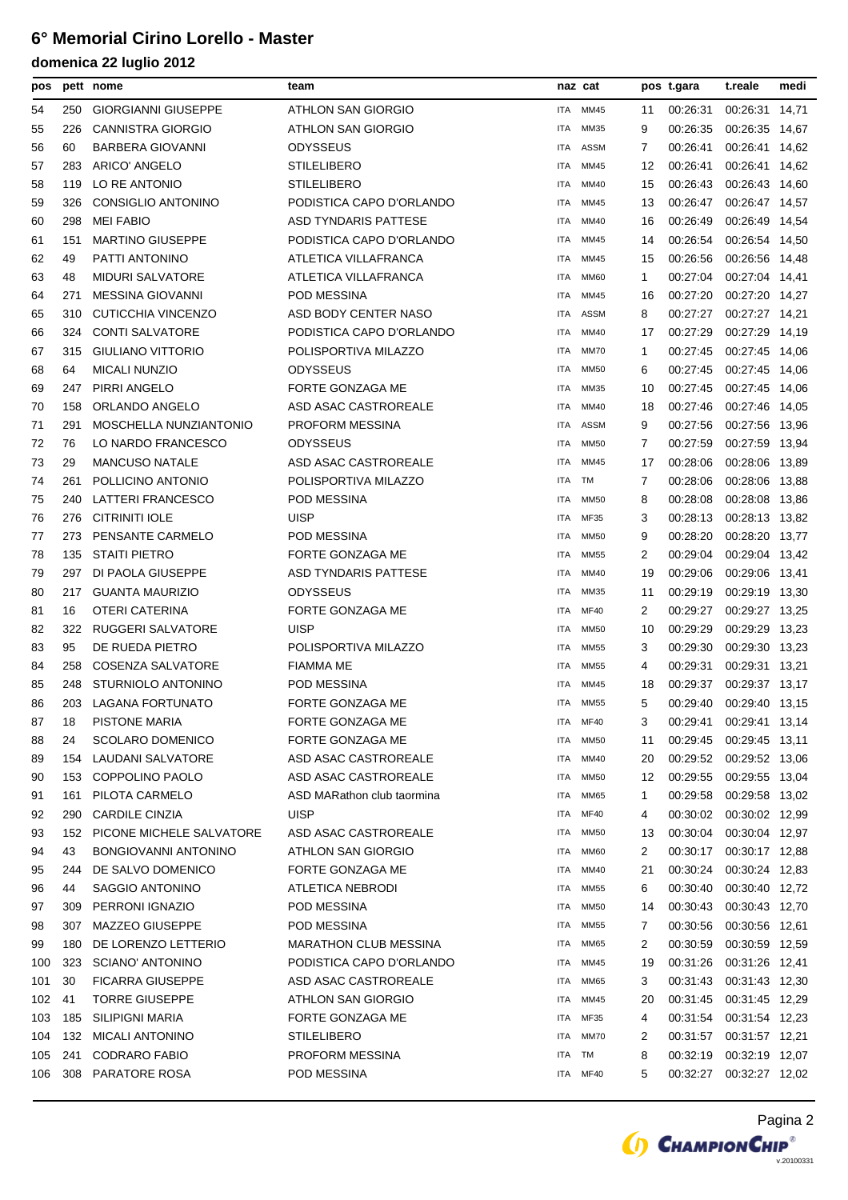### **6° Memorial Cirino Lorello - Master**

| pos |     | pett nome                  | team                         | naz cat    |             |    | pos t.gara | t.reale                 | medi  |
|-----|-----|----------------------------|------------------------------|------------|-------------|----|------------|-------------------------|-------|
| 54  | 250 | <b>GIORGIANNI GIUSEPPE</b> | ATHLON SAN GIORGIO           | <b>ITA</b> | MM45        | 11 | 00:26:31   | 00:26:31 14,71          |       |
| 55  | 226 | <b>CANNISTRA GIORGIO</b>   | ATHLON SAN GIORGIO           | <b>ITA</b> | MM35        | 9  | 00:26:35   | 00:26:35 14,67          |       |
| 56  | 60  | <b>BARBERA GIOVANNI</b>    | ODYSSEUS                     | <b>ITA</b> | <b>ASSM</b> | 7  | 00:26:41   | 00:26:41 14,62          |       |
| 57  | 283 | ARICO' ANGELO              | <b>STILELIBERO</b>           | <b>ITA</b> | MM45        | 12 | 00:26:41   | 00:26:41 14,62          |       |
| 58  | 119 | LO RE ANTONIO              | <b>STILELIBERO</b>           | <b>ITA</b> | MM40        | 15 | 00:26:43   | 00:26:43 14,60          |       |
| 59  | 326 | CONSIGLIO ANTONINO         | PODISTICA CAPO D'ORLANDO     | <b>ITA</b> | MM45        | 13 | 00:26:47   | 00:26:47 14,57          |       |
| 60  | 298 | <b>MEI FABIO</b>           | ASD TYNDARIS PATTESE         | <b>ITA</b> | MM40        | 16 | 00:26:49   | 00:26:49 14.54          |       |
| 61  | 151 | <b>MARTINO GIUSEPPE</b>    | PODISTICA CAPO D'ORLANDO     | <b>ITA</b> | MM45        | 14 | 00:26:54   | 00:26:54 14,50          |       |
| 62  | 49  | PATTI ANTONINO             | ATLETICA VILLAFRANCA         | <b>ITA</b> | MM45        | 15 | 00:26:56   | 00:26:56 14,48          |       |
| 63  | 48  | <b>MIDURI SALVATORE</b>    | ATLETICA VILLAFRANCA         | <b>ITA</b> | <b>MM60</b> | 1  | 00:27:04   | 00:27:04 14,41          |       |
| 64  | 271 | MESSINA GIOVANNI           | POD MESSINA                  | <b>ITA</b> | MM45        | 16 | 00:27:20   | 00:27:20 14,27          |       |
| 65  | 310 | CUTICCHIA VINCENZO         | ASD BODY CENTER NASO         | <b>ITA</b> | <b>ASSM</b> | 8  | 00:27:27   | 00:27:27 14,21          |       |
| 66  | 324 | <b>CONTI SALVATORE</b>     | PODISTICA CAPO D'ORLANDO     | <b>ITA</b> | MM40        | 17 | 00:27:29   | 00:27:29 14,19          |       |
| 67  | 315 | <b>GIULIANO VITTORIO</b>   | POLISPORTIVA MILAZZO         | <b>ITA</b> | MM70        | 1  | 00:27:45   | 00:27:45 14,06          |       |
| 68  | 64  | <b>MICALI NUNZIO</b>       | <b>ODYSSEUS</b>              | <b>ITA</b> | <b>MM50</b> | 6  | 00:27:45   | 00:27:45 14,06          |       |
| 69  | 247 | PIRRI ANGELO               | FORTE GONZAGA ME             | <b>ITA</b> | MM35        | 10 | 00:27:45   | 00:27:45 14,06          |       |
| 70  | 158 | ORLANDO ANGELO             | ASD ASAC CASTROREALE         | ITA        | MM40        | 18 | 00:27:46   | 00:27:46 14,05          |       |
| 71  | 291 | MOSCHELLA NUNZIANTONIO     | PROFORM MESSINA              | <b>ITA</b> | <b>ASSM</b> | 9  | 00:27:56   | 00:27:56                | 13,96 |
| 72  | 76  | LO NARDO FRANCESCO         | <b>ODYSSEUS</b>              | ITA        | <b>MM50</b> | 7  | 00:27:59   | 00:27:59 13,94          |       |
| 73  | 29  | <b>MANCUSO NATALE</b>      | ASD ASAC CASTROREALE         | <b>ITA</b> | MM45        | 17 | 00:28:06   | 00:28:06                | 13,89 |
| 74  | 261 | POLLICINO ANTONIO          | POLISPORTIVA MILAZZO         | ITA        | TM          | 7  | 00:28:06   | 00:28:06 13,88          |       |
| 75  | 240 | LATTERI FRANCESCO          | POD MESSINA                  | ITA        | <b>MM50</b> | 8  | 00:28:08   | 00:28:08 13,86          |       |
| 76  | 276 | <b>CITRINITI IOLE</b>      | <b>UISP</b>                  | <b>ITA</b> | MF35        | 3  | 00:28:13   | 00:28:13 13,82          |       |
| 77  | 273 | PENSANTE CARMELO           | POD MESSINA                  | <b>ITA</b> | <b>MM50</b> | 9  | 00:28:20   | 00:28:20 13,77          |       |
| 78  | 135 | <b>STAITI PIETRO</b>       | FORTE GONZAGA ME             | <b>ITA</b> | MM55        | 2  | 00:29:04   | 00:29:04 13,42          |       |
| 79  | 297 | DI PAOLA GIUSEPPE          | ASD TYNDARIS PATTESE         | ITA        | MM40        | 19 | 00:29:06   | 00:29:06 13,41          |       |
| 80  | 217 | <b>GUANTA MAURIZIO</b>     | ODYSSEUS                     | <b>ITA</b> | MM35        | 11 | 00:29:19   | 00:29:19 13,30          |       |
| 81  | 16  | OTERI CATERINA             | FORTE GONZAGA ME             | <b>ITA</b> | <b>MF40</b> | 2  | 00:29:27   | 00:29:27 13,25          |       |
| 82  | 322 | <b>RUGGERI SALVATORE</b>   | <b>UISP</b>                  | <b>ITA</b> | <b>MM50</b> | 10 | 00:29:29   | 00:29:29                | 13,23 |
| 83  | 95  | DE RUEDA PIETRO            | POLISPORTIVA MILAZZO         | <b>ITA</b> | MM55        | 3  | 00:29:30   | 00:29:30 13,23          |       |
| 84  | 258 | <b>COSENZA SALVATORE</b>   | <b>FIAMMA ME</b>             | ITA        | MM55        | 4  | 00:29:31   | 00:29:31 13,21          |       |
| 85  | 248 | STURNIOLO ANTONINO         | POD MESSINA                  | ITA        | MM45        | 18 | 00:29:37   | 00:29:37 13,17          |       |
| 86  | 203 | <b>LAGANA FORTUNATO</b>    | FORTE GONZAGA ME             | <b>ITA</b> | <b>MM55</b> | 5  | 00:29:40   | 00:29:40 13,15          |       |
| 87  | 18  | <b>PISTONE MARIA</b>       | FORTE GONZAGA ME             | ITA        | MF40        | 3  | 00:29:41   | 00:29:41 13,14          |       |
| 88  | 24  | <b>SCOLARO DOMENICO</b>    | FORTE GONZAGA ME             | ITA        | <b>MM50</b> | 11 | 00:29:45   | 00:29:45 13,11          |       |
| 89  | 154 | LAUDANI SALVATORE          | ASD ASAC CASTROREALE         | ITA        | MM40        | 20 |            | 00:29:52 00:29:52 13,06 |       |
| 90  | 153 | COPPOLINO PAOLO            | ASD ASAC CASTROREALE         | <b>ITA</b> | <b>MM50</b> | 12 | 00:29:55   | 00:29:55 13,04          |       |
| 91  | 161 | PILOTA CARMELO             | ASD MARathon club taormina   | <b>ITA</b> | MM65        | 1  | 00:29:58   | 00:29:58 13,02          |       |
| 92  | 290 | <b>CARDILE CINZIA</b>      | <b>UISP</b>                  | ITA        | <b>MF40</b> | 4  | 00:30:02   | 00:30:02 12.99          |       |
| 93  | 152 | PICONE MICHELE SALVATORE   | ASD ASAC CASTROREALE         | ITA        | <b>MM50</b> | 13 | 00:30:04   | 00:30:04 12,97          |       |
| 94  | 43  | BONGIOVANNI ANTONINO       | ATHLON SAN GIORGIO           | ITA        | <b>MM60</b> | 2  | 00:30:17   | 00:30:17 12,88          |       |
| 95  | 244 | DE SALVO DOMENICO          | FORTE GONZAGA ME             | ITA        | MM40        | 21 | 00:30:24   | 00:30:24 12,83          |       |
| 96  | 44  | SAGGIO ANTONINO            | ATLETICA NEBRODI             | ITA        | MM55        | 6  | 00:30:40   | 00:30:40 12,72          |       |
| 97  | 309 | PERRONI IGNAZIO            | POD MESSINA                  | <b>ITA</b> | MM50        | 14 | 00:30:43   | 00:30:43 12,70          |       |
| 98  | 307 | MAZZEO GIUSEPPE            | POD MESSINA                  | ITA        | MM55        | 7  | 00:30:56   | 00:30:56 12,61          |       |
| 99  | 180 | DE LORENZO LETTERIO        | <b>MARATHON CLUB MESSINA</b> | ITA        | MM65        | 2  | 00:30:59   | 00:30:59 12,59          |       |
| 100 | 323 | <b>SCIANO' ANTONINO</b>    | PODISTICA CAPO D'ORLANDO     | ITA        | MM45        | 19 | 00:31:26   | 00:31:26 12,41          |       |
| 101 | 30  | <b>FICARRA GIUSEPPE</b>    | ASD ASAC CASTROREALE         | ITA        | MM65        | 3  | 00:31:43   | 00:31:43 12,30          |       |
| 102 | 41  | <b>TORRE GIUSEPPE</b>      | ATHLON SAN GIORGIO           | <b>ITA</b> | MM45        | 20 | 00:31:45   | 00:31:45 12,29          |       |
| 103 | 185 | <b>SILIPIGNI MARIA</b>     | FORTE GONZAGA ME             | ITA        | MF35        | 4  | 00:31:54   | 00:31:54 12,23          |       |
| 104 | 132 | <b>MICALI ANTONINO</b>     | <b>STILELIBERO</b>           | ITA        | <b>MM70</b> | 2  |            | 00:31:57 00:31:57 12,21 |       |
| 105 | 241 | <b>CODRARO FABIO</b>       | PROFORM MESSINA              | <b>ITA</b> | <b>TM</b>   | 8  | 00:32:19   | 00:32:19 12,07          |       |
| 106 | 308 | PARATORE ROSA              | POD MESSINA                  | ITA        | <b>MF40</b> | 5  | 00:32:27   | 00:32:27 12,02          |       |